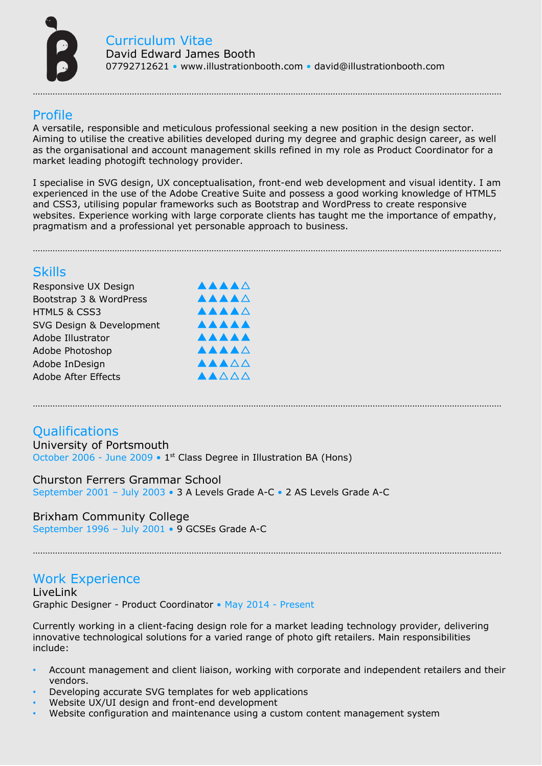

## Profile

A versatile, responsible and meticulous professional seeking a new position in the design sector. Aiming to utilise the creative abilities developed during my degree and graphic design career, as well as the organisational and account management skills refined in my role as Product Coordinator for a market leading photogift technology provider.

………………………………………………………………………………………………………………………………………………………………………

I specialise in SVG design, UX conceptualisation, front-end web development and visual identity. I am experienced in the use of the Adobe Creative Suite and possess a good working knowledge of HTML5 and CSS3, utilising popular frameworks such as Bootstrap and WordPress to create responsive websites. Experience working with large corporate clients has taught me the importance of empathy, pragmatism and a professional yet personable approach to business.

………………………………………………………………………………………………………………………………………………………………………

………………………………………………………………………………………………………………………………………………………………………

## **Skills**

| Responsive UX Design       | <b>AAAA</b> A |
|----------------------------|---------------|
| Bootstrap 3 & WordPress    | <b>AAAA</b> A |
| HTML5 & CSS3               | AAAAA         |
| SVG Design & Development   | <b>AAAAA</b>  |
| Adobe Illustrator          | <b>AAAAA</b>  |
| Adobe Photoshop            | <b>AAAA</b> A |
| Adobe InDesign             | AAAAA         |
| <b>Adobe After Effects</b> | AAAAA         |

# **Qualifications**

#### University of Portsmouth

October 2006 - June 2009 • 1<sup>st</sup> Class Degree in Illustration BA (Hons)

#### Churston Ferrers Grammar School

September 2001 – July 2003 • 3 A Levels Grade A-C • 2 AS Levels Grade A-C

Brixham Community College September 1996 – July 2001 • 9 GCSEs Grade A-C

## Work Experience

LiveLink Graphic Designer - Product Coordinator • May 2014 - Present

Currently working in a client-facing design role for a market leading technology provider, delivering innovative technological solutions for a varied range of photo gift retailers. Main responsibilities include:

………………………………………………………………………………………………………………………………………………………………………

- Account management and client liaison, working with corporate and independent retailers and their vendors.
- Developing accurate SVG templates for web applications
- Website UX/UI design and front-end development
- Website configuration and maintenance using a custom content management system